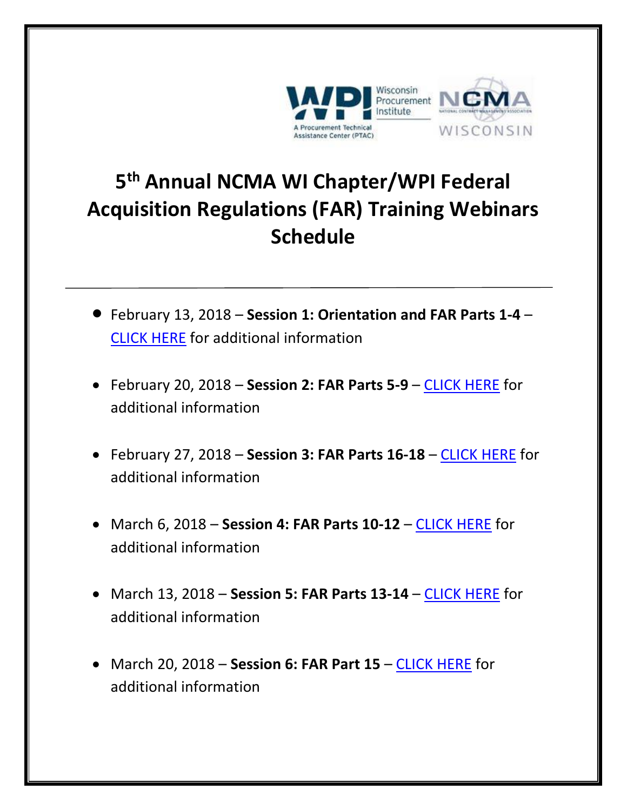

## **5 th Annual NCMA WI Chapter/WPI Federal Acquisition Regulations (FAR) Training Webinars Schedule**

- February 13, 2018 **Session 1: Orientation and FAR Parts 1-4**  [CLICK HERE](https://www.wispro.org/events/federal-acquisition-regulations-far-review-session-1-orientation-and-far-parts-1-4/) for additional information
- February 20, 2018 **Session 2: FAR Parts 5-9**  [CLICK HERE](https://www.wispro.org/events/federal-acquisition-regulations-far-review-session-2-parts-5-9/) for additional information
- February 27, 2018 **Session 3: FAR Parts 16-18** [CLICK HERE](https://www.wispro.org/events/federal-acquisition-regulations-far-review-session-3-parts-16-18/) for additional information
- March 6, 2018 **Session 4: FAR Parts 10-12**  [CLICK HERE](https://www.wispro.org/events/federal-acquisition-regulations-far-review-session-4-parts-10-12/) for additional information
- March 13, 2018 **Session 5: FAR Parts 13-14**  [CLICK HERE](https://www.wispro.org/events/federal-acquisition-regulations-far-review-session-5-parts-13-14/) for additional information
- March 20, 2018 **Session 6: FAR Part 15**  [CLICK HERE](https://www.wispro.org/events/federal-acquisition-regulations-far-review-session-6-part-15/) for additional information